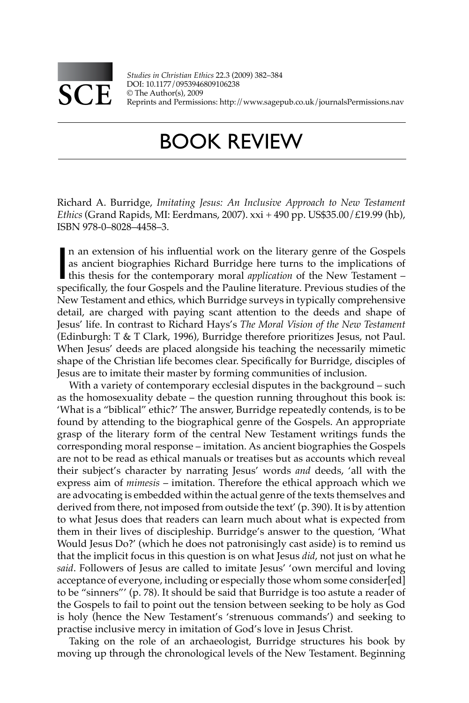

*Studies in Christian Ethics* 22.3 (2009) 382–384 DOI: 10.1177/0953946809106238 © The Author(s), 2009 Reprints and Permissions: http://www.sagepub.co.uk/journalsPermissions.nav

## book review

**SCE**

Richard A. Burridge, *Imitating Jesus: An Inclusive Approach to New Testament Ethics* (Grand Rapids, MI: Eerdmans, 2007). xxi + 490 pp. US\$35.00/£19.99 (hb), ISBN 978-0–8028–4458–3.

In an extension of his influential work on the literary genre of the Gospels<br>as ancient biographies Richard Burridge here turns to the implications of<br>this thesis for the contemporary moral *application* of the New Testame n an extension of his influential work on the literary genre of the Gospels as ancient biographies Richard Burridge here turns to the implications of specifically, the four Gospels and the Pauline literature. Previous studies of the New Testament and ethics, which Burridge surveys in typically comprehensive detail, are charged with paying scant attention to the deeds and shape of Jesus' life. In contrast to Richard Hays's *The Moral Vision of the New Testament* (Edinburgh: T & T Clark, 1996), Burridge therefore prioritizes Jesus, not Paul. When Jesus' deeds are placed alongside his teaching the necessarily mimetic shape of the Christian life becomes clear. Specifically for Burridge, disciples of Jesus are to imitate their master by forming communities of inclusion.

With a variety of contemporary ecclesial disputes in the background – such as the homosexuality debate – the question running throughout this book is: 'What is a "biblical" ethic?' The answer, Burridge repeatedly contends, is to be found by attending to the biographical genre of the Gospels. An appropriate grasp of the literary form of the central New Testament writings funds the corresponding moral response – imitation. As ancient biographies the Gospels are not to be read as ethical manuals or treatises but as accounts which reveal their subject's character by narrating Jesus' words *and* deeds, 'all with the express aim of *mimesis* – imitation. Therefore the ethical approach which we are advocating is embedded within the actual genre of the texts themselves and derived from there, not imposed from outside the text' (p. 390). It is by attention to what Jesus does that readers can learn much about what is expected from them in their lives of discipleship. Burridge's answer to the question, 'What Would Jesus Do?' (which he does not patronisingly cast aside) is to remind us that the implicit focus in this question is on what Jesus *did*, not just on what he *said*. Followers of Jesus are called to imitate Jesus' 'own merciful and loving acceptance of everyone, including or especially those whom some consider[ed] to be "sinners"' (p. 78). It should be said that Burridge is too astute a reader of the Gospels to fail to point out the tension between seeking to be holy as God is holy (hence the New Testament's 'strenuous commands') and seeking to practise inclusive mercy in imitation of God's love in Jesus Christ.

Taking on the role of an archaeologist, Burridge structures his book by moving up through the chronological levels of the New Testament. Beginning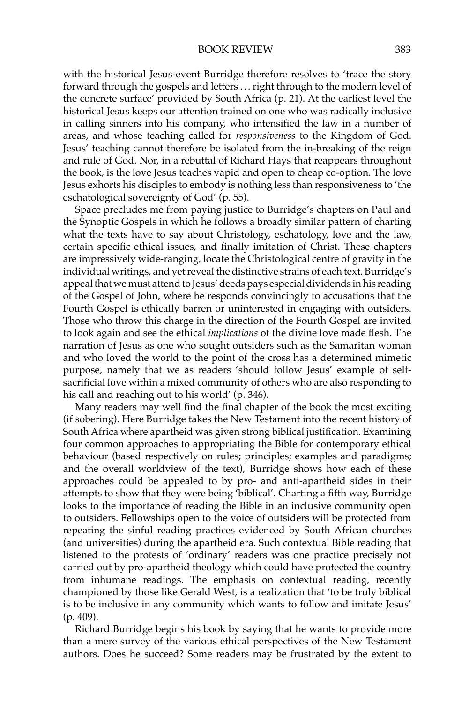with the historical Jesus-event Burridge therefore resolves to 'trace the story forward through the gospels and letters .. . right through to the modern level of the concrete surface' provided by South Africa (p. 21). At the earliest level the historical Jesus keeps our attention trained on one who was radically inclusive in calling sinners into his company, who intensified the law in a number of areas, and whose teaching called for *responsiveness* to the Kingdom of God. Jesus' teaching cannot therefore be isolated from the in-breaking of the reign and rule of God. Nor, in a rebuttal of Richard Hays that reappears throughout the book, is the love Jesus teaches vapid and open to cheap co-option. The love Jesus exhorts his disciples to embody is nothing less than responsiveness to 'the eschatological sovereignty of God' (p. 55).

Space precludes me from paying justice to Burridge's chapters on Paul and the Synoptic Gospels in which he follows a broadly similar pattern of charting what the texts have to say about Christology, eschatology, love and the law, certain specific ethical issues, and finally imitation of Christ. These chapters are impressively wide-ranging, locate the Christological centre of gravity in the individual writings, and yet reveal the distinctive strains of each text. Burridge's appeal that we must attend to Jesus' deeds pays especial dividends in his reading of the Gospel of John, where he responds convincingly to accusations that the Fourth Gospel is ethically barren or uninterested in engaging with outsiders. Those who throw this charge in the direction of the Fourth Gospel are invited to look again and see the ethical *implications* of the divine love made flesh. The narration of Jesus as one who sought outsiders such as the Samaritan woman and who loved the world to the point of the cross has a determined mimetic purpose, namely that we as readers 'should follow Jesus' example of selfsacrificial love within a mixed community of others who are also responding to his call and reaching out to his world' (p. 346).

Many readers may well find the final chapter of the book the most exciting (if sobering). Here Burridge takes the New Testament into the recent history of South Africa where apartheid was given strong biblical justification. Examining four common approaches to appropriating the Bible for contemporary ethical behaviour (based respectively on rules; principles; examples and paradigms; and the overall worldview of the text), Burridge shows how each of these approaches could be appealed to by pro- and anti-apartheid sides in their attempts to show that they were being 'biblical'. Charting a fifth way, Burridge looks to the importance of reading the Bible in an inclusive community open to outsiders. Fellowships open to the voice of outsiders will be protected from repeating the sinful reading practices evidenced by South African churches (and universities) during the apartheid era. Such contextual Bible reading that listened to the protests of 'ordinary' readers was one practice precisely not carried out by pro-apartheid theology which could have protected the country from inhumane readings. The emphasis on contextual reading, recently championed by those like Gerald West, is a realization that 'to be truly biblical is to be inclusive in any community which wants to follow and imitate Jesus' (p. 409).

Richard Burridge begins his book by saying that he wants to provide more than a mere survey of the various ethical perspectives of the New Testament authors. Does he succeed? Some readers may be frustrated by the extent to